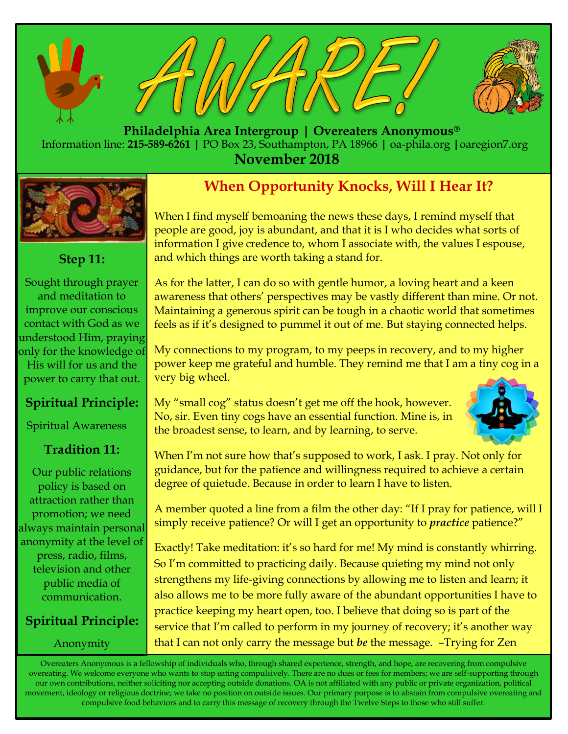





 **Philadelphia Area Intergroup | Overeaters Anonymous®** Information line: **215-589-6261 |** PO Box 23, Southampton, PA 18966 **|** oa-phila.org **|**oaregion7.org **November 2018**



## **Step 11:**

Sought through prayer and meditation to improve our conscious contact with God as we understood Him, praying only for the knowledge of His will for us and the power to carry that out.

## **Spiritual Principle:**

Spiritual Awareness

## **Tradition 11:**

Our public relations policy is based on attraction rather than promotion; we need always maintain personal anonymity at the level of press, radio, films, television and other public media of communication.

## **Spiritual Principle:**

Anonymity

## **When Opportunity Knocks, Will I Hear It?**

When I find myself bemoaning the news these days, I remind myself that people are good, joy is abundant, and that it is I who decides what sorts of information I give credence to, whom I associate with, the values I espouse, and which things are worth taking a stand for.

As for the latter, I can do so with gentle humor, a loving heart and a keen awareness that others' perspectives may be vastly different than mine. Or not. Maintaining a generous spirit can be tough in a chaotic world that sometimes feels as if it's designed to pummel it out of me. But staying connected helps.

My connections to my program, to my peeps in recovery, and to my higher power keep me grateful and humble. They remind me that I am a tiny cog in a very big wheel.

My "small cog" status doesn't get me off the hook, however. No, sir. Even tiny cogs have an essential function. Mine is, in the broadest sense, to learn, and by learning, to serve.



When I'm not sure how that's supposed to work, I ask. I pray. Not only for guidance, but for the patience and willingness required to achieve a certain degree of quietude. Because in order to learn I have to listen.

A member quoted a line from a film the other day: "If I pray for patience, will I simply receive patience? Or will I get an opportunity to *practice* patience?"

Exactly! Take meditation: it's so hard for me! My mind is constantly whirring. So I'm committed to practicing daily. Because quieting my mind not only strengthens my life-giving connections by allowing me to listen and learn; it also allows me to be more fully aware of the abundant opportunities I have to practice keeping my heart open, too. I believe that doing so is part of the service that I'm called to perform in my journey of recovery; it's another way that I can not only carry the message but *be* the message. –Trying for Zen

Overeaters Anonymous is a fellowship of individuals who, through shared experience, strength, and hope, are recovering from compulsive overeating. We welcome everyone who wants to stop eating compulsively. There are no dues or fees for members; we are self-supporting through our own contributions, neither soliciting nor accepting outside donations. OA is not affiliated with any public or private organization, political movement, ideology or religious doctrine; we take no position on outside issues. Our primary purpose is to abstain from compulsive overeating and compulsive food behaviors and to carry this message of recovery through the Twelve Steps to those who still suffer.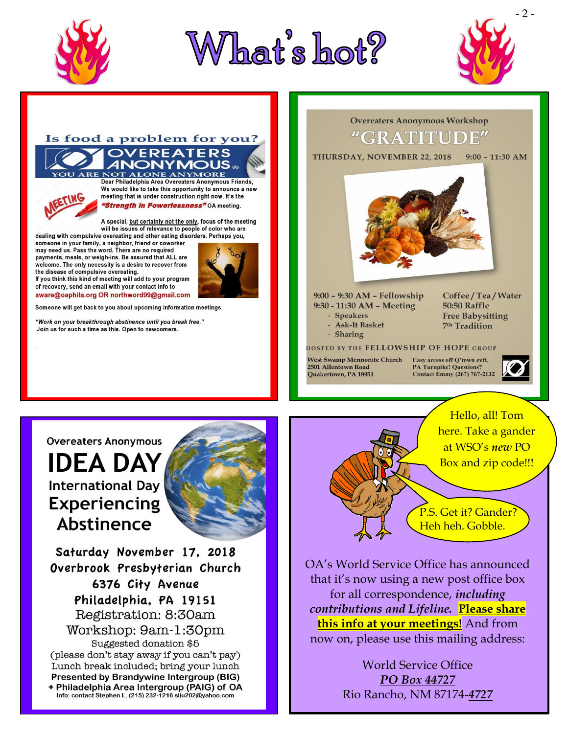





### Is food a problem for you? **OVEREATERS OT ALONE ANYMORE**

#### Dear Philadelphia Area Overeaters Anonymous Friends, We would like to take this opportunity to announce a new meeting that is under construction right now. It's the "Strength in Powerlessness" OA meeting.

A special, but certainly not the only, focus of the meeting<br>will be issues of relevance to people of color who are

dealing with compulsive overeating and other eating disorders. Perhaps you, someone in your family, a neighbor, friend or coworker may need us. Pass the word. There are no required payments, meals, or weigh-ins. Be assured that ALL are welcome. The only necessity is a desire to recover from the disease of compulsive overeating.

If you think this kind of meeting will add to your program of recovery, send an email with your contact info to aware@oaphila.org OR northword99@gmail.com

Someone will get back to you about upcoming information meetings.

"Work on your breakthrough abstinence until you break free." Join us for such a time as this. Open to newcomers.



9:00 - 9:30 AM - Fellowship 9:30 - 11:30 AM - Meeting - Speakers

Coffee / Tea / Water **50:50 Raffle Free Babysitting** 7<sup>th</sup> Tradition

- Ask-It Basket - Sharing

#### **HOSTED BY THE FELLOWSHIP OF HOPE GROUP**

**West Swamp Mennonite Church** 2501 Allentown Road Quakertown, PA 18951

Easy access off Q'town exit, **PA Turnpike! Questions? Contact Emmy (267) 767-2132** 





## **IDEA DAY International Day Experiencing Abstinence**



Saturday November 17, 2018 Overbrook Presbyterian Church 6376 City Avenue Philadelphia, PA 19151 Registration: 8:30am Workshop: 9am-1:30pm Suggested donation \$5 (please don't stay away if you can't pay) Lunch break included; bring your lunch Presented by Brandywine Intergroup (BIG) + Philadelphia Area Intergroup (PAIG) of OA

Info: contact Stephen L. (215) 232-1216 sliu202@yahoo.com



P.S. Get it? Gander? Heh heh. Gobble.

OA's World Service Office has announced that it's now using a new post office box for all correspondence, *including* contributions and Lifeline. Please share this info at your meetings! And from now on, please use this mailing address:

> **World Service Office** PO Box 44727 Rio Rancho, NM 87174-4727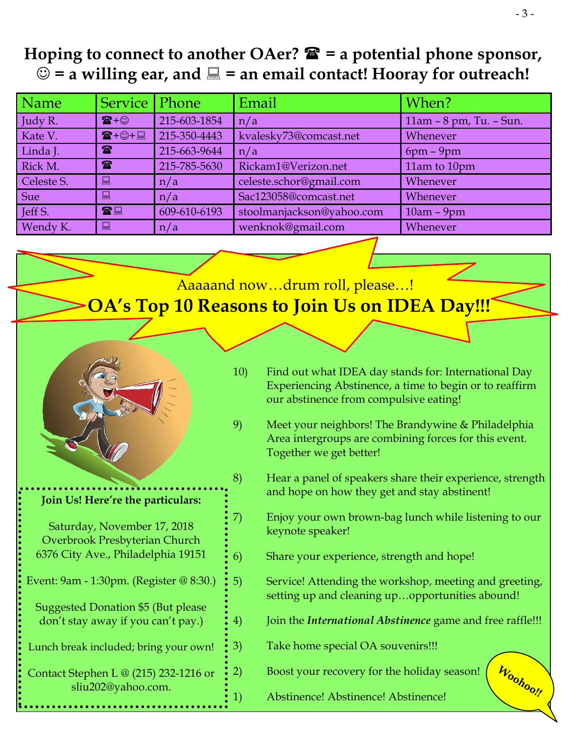## **Hoping to connect to another OAer? = a potential phone sponsor,**   $\odot$  = a willing ear, and  $\Box$  = an email contact! Hooray for outreach!

| Name       | Service   Phone      |              | Email                     | When?                   |
|------------|----------------------|--------------|---------------------------|-------------------------|
| Judy R.    | $\mathbf{R} + \odot$ | 215-603-1854 | n/a                       | 11am - 8 pm, Tu. - Sun. |
| Kate V.    | $T + ③ + ②$          | 215-350-4443 | kvalesky73@comcast.net    | Whenever                |
| Linda J.   | $\mathbf{r}$         | 215-663-9644 | n/a                       | $6pm - 9pm$             |
| Rick M.    | $\mathbf{r}$         | 215-785-5630 | Rickam1@Verizon.net       | 11am to 10pm            |
| Celeste S. | 口                    | n/a          | celeste.schor@gmail.com   | Whenever                |
| Sue        | 鳳                    | n/a          | Sac123058@comcast.net     | Whenever                |
| Jeff S.    | 雷星                   | 609-610-6193 | stoolmanjackson@yahoo.com | $10am - 9pm$            |
| Wendy K.   | 口                    | n/a          | wenknok@gmail.com         | Whenever                |
|            |                      |              |                           |                         |

## Aaaaand now…drum roll, please…! **OA's Top 10 Reasons to Join Us on IDEA Day!!!**



֕֜֡

## **Join Us! Here're the particulars:**

| Saturday, November 17, 2018        |  |  |  |
|------------------------------------|--|--|--|
| Overbrook Presbyterian Church      |  |  |  |
| 6376 City Ave., Philadelphia 19151 |  |  |  |

- Event: 9am 1:30pm. (Register @ 8:30.)
	- Suggested Donation \$5 (But please don't stay away if you can't pay.)
- Lunch break included; bring your own!

Contact Stephen L @ (215) 232-1216 or sliu202@yahoo.com.

- 10) Find out what IDEA day stands for: International Day Experiencing Abstinence, a time to begin or to reaffirm our abstinence from compulsive eating!
- 9) Meet your neighbors! The Brandywine & Philadelphia Area intergroups are combining forces for this event. Together we get better!
- 8) Hear a panel of speakers share their experience, strength and hope on how they get and stay abstinent!
- 7) Enjoy your own brown-bag lunch while listening to our keynote speaker!
- 6) Share your experience, strength and hope!
- 5) Service! Attending the workshop, meeting and greeting, setting up and cleaning up…opportunities abound!
- 4) Join the *International Abstinence* game and free raffle!!!

Woohoo!!

- 3) Take home special OA souvenirs!!!
- 2) Boost your recovery for the holiday season!
- 1) Abstinence! Abstinence! Abstinence!